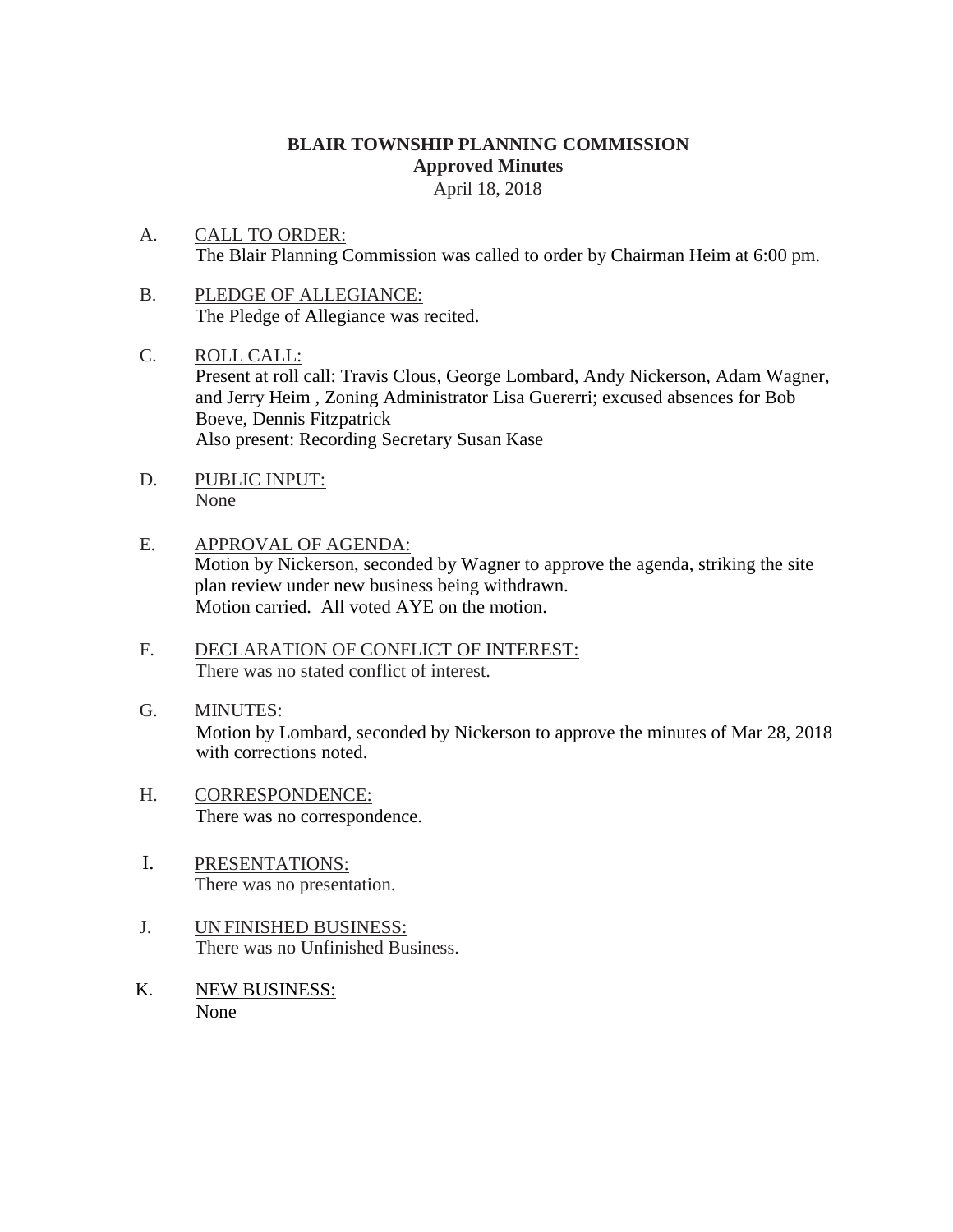# **BLAIR TOWNSHIP PLANNING COMMISSION Approved Minutes**

April 18, 2018

- A. CALL TO ORDER: The Blair Planning Commission was called to order by Chairman Heim at 6:00 pm.
- B. PLEDGE OF ALLEGIANCE: The Pledge of Allegiance was recited.
- C. ROLL CALL: Present at roll call: Travis Clous, George Lombard, Andy Nickerson, Adam Wagner, and Jerry Heim , Zoning Administrator Lisa Guererri; excused absences for Bob Boeve, Dennis Fitzpatrick Also present: Recording Secretary Susan Kase
- D. PUBLIC INPUT: None
- E. APPROVAL OF AGENDA: Motion by Nickerson, seconded by Wagner to approve the agenda, striking the site plan review under new business being withdrawn. Motion carried. All voted AYE on the motion.
- F. DECLARATION OF CONFLICT OF INTEREST: There was no stated conflict of interest.
- G. MINUTES: Motion by Lombard, seconded by Nickerson to approve the minutes of Mar 28, 2018 with corrections noted.
- H. CORRESPONDENCE: There was no correspondence.
- I. PRESENTATIONS: There was no presentation.
- J. UNFINISHED BUSINESS: There was no Unfinished Business.
- K. NEW BUSINESS: None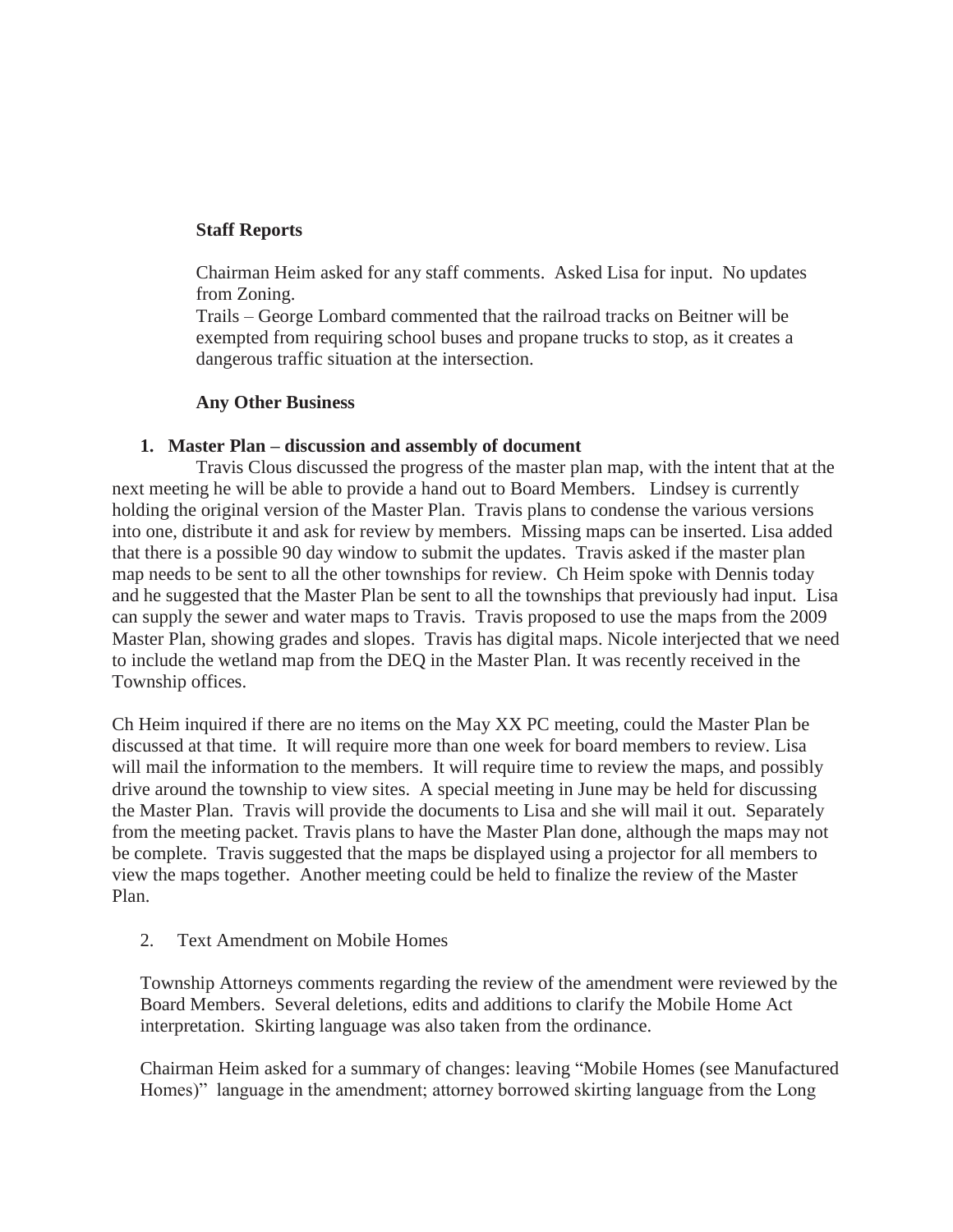## **Staff Reports**

Chairman Heim asked for any staff comments. Asked Lisa for input. No updates from Zoning.

Trails – George Lombard commented that the railroad tracks on Beitner will be exempted from requiring school buses and propane trucks to stop, as it creates a dangerous traffic situation at the intersection.

### **Any Other Business**

### **1. Master Plan – discussion and assembly of document**

Travis Clous discussed the progress of the master plan map, with the intent that at the next meeting he will be able to provide a hand out to Board Members. Lindsey is currently holding the original version of the Master Plan. Travis plans to condense the various versions into one, distribute it and ask for review by members. Missing maps can be inserted. Lisa added that there is a possible 90 day window to submit the updates. Travis asked if the master plan map needs to be sent to all the other townships for review. Ch Heim spoke with Dennis today and he suggested that the Master Plan be sent to all the townships that previously had input. Lisa can supply the sewer and water maps to Travis. Travis proposed to use the maps from the 2009 Master Plan, showing grades and slopes. Travis has digital maps. Nicole interjected that we need to include the wetland map from the DEQ in the Master Plan. It was recently received in the Township offices.

Ch Heim inquired if there are no items on the May XX PC meeting, could the Master Plan be discussed at that time. It will require more than one week for board members to review. Lisa will mail the information to the members. It will require time to review the maps, and possibly drive around the township to view sites. A special meeting in June may be held for discussing the Master Plan. Travis will provide the documents to Lisa and she will mail it out. Separately from the meeting packet. Travis plans to have the Master Plan done, although the maps may not be complete. Travis suggested that the maps be displayed using a projector for all members to view the maps together. Another meeting could be held to finalize the review of the Master Plan.

2. Text Amendment on Mobile Homes

Township Attorneys comments regarding the review of the amendment were reviewed by the Board Members. Several deletions, edits and additions to clarify the Mobile Home Act interpretation. Skirting language was also taken from the ordinance.

Chairman Heim asked for a summary of changes: leaving "Mobile Homes (see Manufactured Homes)" language in the amendment; attorney borrowed skirting language from the Long